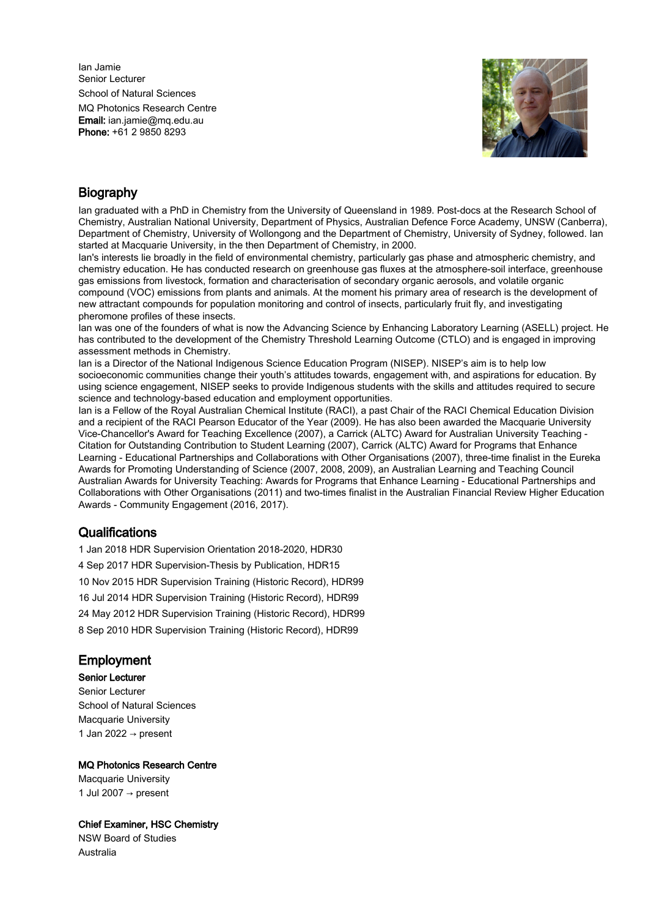Ian Jamie Senior Lecturer School of Natural Sciences

MQ Photonics Research Centre Email: ian.jamie@mq.edu.au Phone: +61 2 9850 8293



# **Biography**

Ian graduated with a PhD in Chemistry from the University of Queensland in 1989. Post-docs at the Research School of Chemistry, Australian National University, Department of Physics, Australian Defence Force Academy, UNSW (Canberra), Department of Chemistry, University of Wollongong and the Department of Chemistry, University of Sydney, followed. Ian started at Macquarie University, in the then Department of Chemistry, in 2000.

Ian's interests lie broadly in the field of environmental chemistry, particularly gas phase and atmospheric chemistry, and chemistry education. He has conducted research on greenhouse gas fluxes at the atmosphere-soil interface, greenhouse gas emissions from livestock, formation and characterisation of secondary organic aerosols, and volatile organic compound (VOC) emissions from plants and animals. At the moment his primary area of research is the development of new attractant compounds for population monitoring and control of insects, particularly fruit fly, and investigating pheromone profiles of these insects.

Ian was one of the founders of what is now the Advancing Science by Enhancing Laboratory Learning (ASELL) project. He has contributed to the development of the Chemistry Threshold Learning Outcome (CTLO) and is engaged in improving assessment methods in Chemistry.

Ian is a Director of the National Indigenous Science Education Program (NISEP). NISEP's aim is to help low socioeconomic communities change their youth's attitudes towards, engagement with, and aspirations for education. By using science engagement, NISEP seeks to provide Indigenous students with the skills and attitudes required to secure science and technology-based education and employment opportunities.

Ian is a Fellow of the Royal Australian Chemical Institute (RACI), a past Chair of the RACI Chemical Education Division and a recipient of the RACI Pearson Educator of the Year (2009). He has also been awarded the Macquarie University Vice-Chancellor's Award for Teaching Excellence (2007), a Carrick (ALTC) Award for Australian University Teaching - Citation for Outstanding Contribution to Student Learning (2007), Carrick (ALTC) Award for Programs that Enhance Learning - Educational Partnerships and Collaborations with Other Organisations (2007), three-time finalist in the Eureka Awards for Promoting Understanding of Science (2007, 2008, 2009), an Australian Learning and Teaching Council Australian Awards for University Teaching: Awards for Programs that Enhance Learning - Educational Partnerships and Collaborations with Other Organisations (2011) and two-times finalist in the Australian Financial Review Higher Education Awards - Community Engagement (2016, 2017).

# **Qualifications**

1 Jan 2018 HDR Supervision Orientation 2018-2020, HDR30 4 Sep 2017 HDR Supervision-Thesis by Publication, HDR15 10 Nov 2015 HDR Supervision Training (Historic Record), HDR99 16 Jul 2014 HDR Supervision Training (Historic Record), HDR99 24 May 2012 HDR Supervision Training (Historic Record), HDR99 8 Sep 2010 HDR Supervision Training (Historic Record), HDR99

# Employment

# Senior Lecturer

Senior Lecturer School of Natural Sciences Macquarie University 1 Jan 2022  $\rightarrow$  present

# MQ Photonics Research Centre

Macquarie University 1 Jul 2007  $\rightarrow$  present

# Chief Examiner, HSC Chemistry

NSW Board of Studies Australia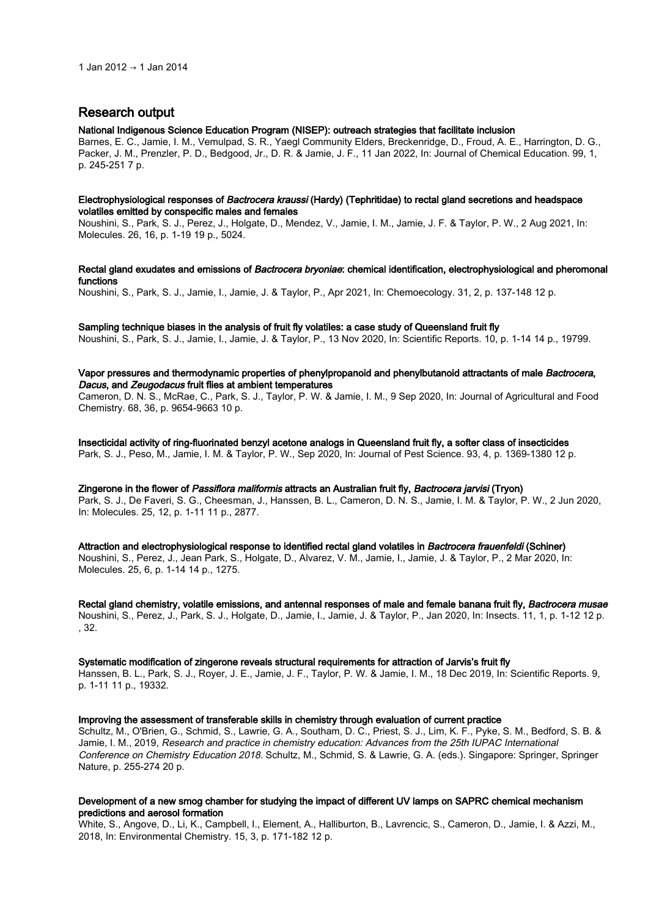# Research output

#### National Indigenous Science Education Program (NISEP): outreach strategies that facilitate inclusion

Barnes, E. C., Jamie, I. M., Vemulpad, S. R., Yaegl Community Elders, Breckenridge, D., Froud, A. E., Harrington, D. G., Packer, J. M., Prenzler, P. D., Bedgood, Jr., D. R. & Jamie, J. F., 11 Jan 2022, In: Journal of Chemical Education. 99, 1, p. 245-251 7 p.

### Electrophysiological responses of Bactrocera kraussi (Hardy) (Tephritidae) to rectal gland secretions and headspace volatiles emitted by conspecific males and females

Noushini, S., Park, S. J., Perez, J., Holgate, D., Mendez, V., Jamie, I. M., Jamie, J. F. & Taylor, P. W., 2 Aug 2021, In: Molecules. 26, 16, p. 1-19 19 p., 5024.

Rectal gland exudates and emissions of Bactrocera bryoniae: chemical identification, electrophysiological and pheromonal functions

Noushini, S., Park, S. J., Jamie, I., Jamie, J. & Taylor, P., Apr 2021, In: Chemoecology. 31, 2, p. 137-148 12 p.

#### Sampling technique biases in the analysis of fruit fly volatiles: a case study of Queensland fruit fly

Noushini, S., Park, S. J., Jamie, I., Jamie, J. & Taylor, P., 13 Nov 2020, In: Scientific Reports. 10, p. 1-14 14 p., 19799.

# Vapor pressures and thermodynamic properties of phenylpropanoid and phenylbutanoid attractants of male Bactrocera, Dacus, and Zeugodacus fruit flies at ambient temperatures

Cameron, D. N. S., McRae, C., Park, S. J., Taylor, P. W. & Jamie, I. M., 9 Sep 2020, In: Journal of Agricultural and Food Chemistry. 68, 36, p. 9654-9663 10 p.

Insecticidal activity of ring-fluorinated benzyl acetone analogs in Queensland fruit fly, a softer class of insecticides Park, S. J., Peso, M., Jamie, I. M. & Taylor, P. W., Sep 2020, In: Journal of Pest Science. 93, 4, p. 1369-1380 12 p.

Zingerone in the flower of Passiflora maliformis attracts an Australian fruit fly, Bactrocera jarvisi (Tryon) Park, S. J., De Faveri, S. G., Cheesman, J., Hanssen, B. L., Cameron, D. N. S., Jamie, I. M. & Taylor, P. W., 2 Jun 2020, In: Molecules. 25, 12, p. 1-11 11 p., 2877.

Attraction and electrophysiological response to identified rectal gland volatiles in Bactrocera frauenfeldi (Schiner) Noushini, S., Perez, J., Jean Park, S., Holgate, D., Alvarez, V. M., Jamie, I., Jamie, J. & Taylor, P., 2 Mar 2020, In: Molecules. 25, 6, p. 1-14 14 p., 1275.

Rectal gland chemistry, volatile emissions, and antennal responses of male and female banana fruit fly, Bactrocera musae Noushini, S., Perez, J., Park, S. J., Holgate, D., Jamie, I., Jamie, J. & Taylor, P., Jan 2020, In: Insects. 11, 1, p. 1-12 12 p. , 32.

#### Systematic modification of zingerone reveals structural requirements for attraction of Jarvis's fruit fly

Hanssen, B. L., Park, S. J., Royer, J. E., Jamie, J. F., Taylor, P. W. & Jamie, I. M., 18 Dec 2019, In: Scientific Reports. 9, p. 1-11 11 p., 19332.

#### Improving the assessment of transferable skills in chemistry through evaluation of current practice

Schultz, M., O'Brien, G., Schmid, S., Lawrie, G. A., Southam, D. C., Priest, S. J., Lim, K. F., Pyke, S. M., Bedford, S. B. & Jamie, I. M., 2019, Research and practice in chemistry education: Advances from the 25th IUPAC International Conference on Chemistry Education 2018. Schultz, M., Schmid, S. & Lawrie, G. A. (eds.). Singapore: Springer, Springer Nature, p. 255-274 20 p.

# Development of a new smog chamber for studying the impact of different UV lamps on SAPRC chemical mechanism predictions and aerosol formation

White, S., Angove, D., Li, K., Campbell, I., Element, A., Halliburton, B., Lavrencic, S., Cameron, D., Jamie, I. & Azzi, M., 2018, In: Environmental Chemistry. 15, 3, p. 171-182 12 p.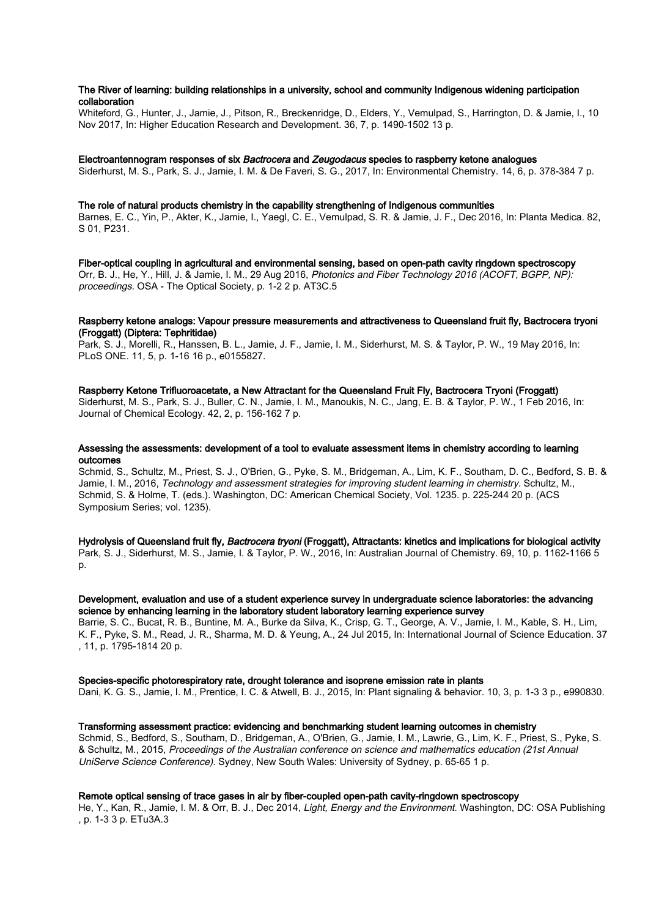### The River of learning: building relationships in a university, school and community Indigenous widening participation collaboration

Whiteford, G., Hunter, J., Jamie, J., Pitson, R., Breckenridge, D., Elders, Y., Vemulpad, S., Harrington, D. & Jamie, I., 10 Nov 2017, In: Higher Education Research and Development. 36, 7, p. 1490-1502 13 p.

#### Electroantennogram responses of six Bactrocera and Zeugodacus species to raspberry ketone analogues

Siderhurst, M. S., Park, S. J., Jamie, I. M. & De Faveri, S. G., 2017, In: Environmental Chemistry. 14, 6, p. 378-384 7 p.

#### The role of natural products chemistry in the capability strengthening of Indigenous communities

Barnes, E. C., Yin, P., Akter, K., Jamie, I., Yaegl, C. E., Vemulpad, S. R. & Jamie, J. F., Dec 2016, In: Planta Medica. 82, S 01, P231.

Fiber-optical coupling in agricultural and environmental sensing, based on open-path cavity ringdown spectroscopy Orr, B. J., He, Y., Hill, J. & Jamie, I. M., 29 Aug 2016, Photonics and Fiber Technology 2016 (ACOFT, BGPP, NP): proceedings. OSA - The Optical Society, p. 1-2 2 p. AT3C.5

#### Raspberry ketone analogs: Vapour pressure measurements and attractiveness to Queensland fruit fly, Bactrocera tryoni (Froggatt) (Diptera: Tephritidae)

Park, S. J., Morelli, R., Hanssen, B. L., Jamie, J. F., Jamie, I. M., Siderhurst, M. S. & Taylor, P. W., 19 May 2016, In: PLoS ONE. 11, 5, p. 1-16 16 p., e0155827.

### Raspberry Ketone Trifluoroacetate, a New Attractant for the Queensland Fruit Fly, Bactrocera Tryoni (Froggatt)

Siderhurst, M. S., Park, S. J., Buller, C. N., Jamie, I. M., Manoukis, N. C., Jang, E. B. & Taylor, P. W., 1 Feb 2016, In: Journal of Chemical Ecology. 42, 2, p. 156-162 7 p.

# Assessing the assessments: development of a tool to evaluate assessment items in chemistry according to learning outcomes

Schmid, S., Schultz, M., Priest, S. J., O'Brien, G., Pyke, S. M., Bridgeman, A., Lim, K. F., Southam, D. C., Bedford, S. B. & Jamie, I. M., 2016, Technology and assessment strategies for improving student learning in chemistry. Schultz, M., Schmid, S. & Holme, T. (eds.). Washington, DC: American Chemical Society, Vol. 1235. p. 225-244 20 p. (ACS Symposium Series; vol. 1235).

Hydrolysis of Queensland fruit fly, Bactrocera tryoni (Froggatt), Attractants: kinetics and implications for biological activity Park, S. J., Siderhurst, M. S., Jamie, I. & Taylor, P. W., 2016, In: Australian Journal of Chemistry. 69, 10, p. 1162-1166 5 p.

#### Development, evaluation and use of a student experience survey in undergraduate science laboratories: the advancing science by enhancing learning in the laboratory student laboratory learning experience survey

Barrie, S. C., Bucat, R. B., Buntine, M. A., Burke da Silva, K., Crisp, G. T., George, A. V., Jamie, I. M., Kable, S. H., Lim, K. F., Pyke, S. M., Read, J. R., Sharma, M. D. & Yeung, A., 24 Jul 2015, In: International Journal of Science Education. 37 , 11, p. 1795-1814 20 p.

#### Species-specific photorespiratory rate, drought tolerance and isoprene emission rate in plants

Dani, K. G. S., Jamie, I. M., Prentice, I. C. & Atwell, B. J., 2015, In: Plant signaling & behavior. 10, 3, p. 1-3 3 p., e990830.

#### Transforming assessment practice: evidencing and benchmarking student learning outcomes in chemistry

Schmid, S., Bedford, S., Southam, D., Bridgeman, A., O'Brien, G., Jamie, I. M., Lawrie, G., Lim, K. F., Priest, S., Pyke, S. & Schultz, M., 2015, Proceedings of the Australian conference on science and mathematics education (21st Annual UniServe Science Conference). Sydney, New South Wales: University of Sydney, p. 65-65 1 p.

# Remote optical sensing of trace gases in air by fiber-coupled open-path cavity-ringdown spectroscopy

He, Y., Kan, R., Jamie, I. M. & Orr, B. J., Dec 2014, Light, Energy and the Environment. Washington, DC: OSA Publishing , p. 1-3 3 p. ETu3A.3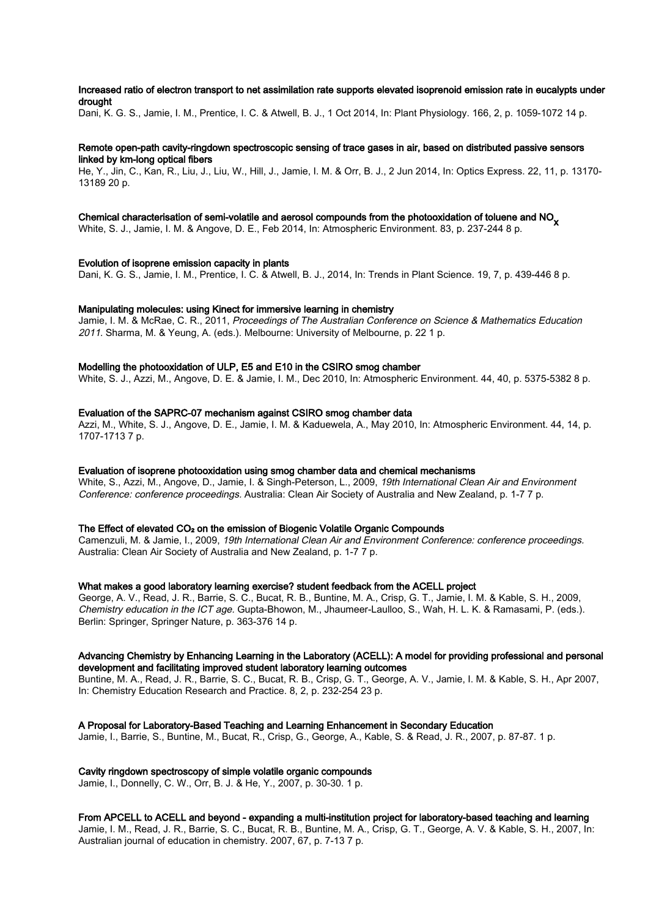# Increased ratio of electron transport to net assimilation rate supports elevated isoprenoid emission rate in eucalypts under drought

Dani, K. G. S., Jamie, I. M., Prentice, I. C. & Atwell, B. J., 1 Oct 2014, In: Plant Physiology. 166, 2, p. 1059-1072 14 p.

# Remote open-path cavity-ringdown spectroscopic sensing of trace gases in air, based on distributed passive sensors linked by km-long optical fibers

He, Y., Jin, C., Kan, R., Liu, J., Liu, W., Hill, J., Jamie, I. M. & Orr, B. J., 2 Jun 2014, In: Optics Express. 22, 11, p. 13170- 13189 20 p.

# Chemical characterisation of semi-volatile and aerosol compounds from the photooxidation of toluene and NO<sub>V</sub>

White, S. J., Jamie, I. M. & Angove, D. E., Feb 2014, In: Atmospheric Environment. 83, p. 237-244 8 p.

#### Evolution of isoprene emission capacity in plants

Dani, K. G. S., Jamie, I. M., Prentice, I. C. & Atwell, B. J., 2014, In: Trends in Plant Science. 19, 7, p. 439-446 8 p.

#### Manipulating molecules: using Kinect for immersive learning in chemistry

Jamie, I. M. & McRae, C. R., 2011, Proceedings of The Australian Conference on Science & Mathematics Education 2011. Sharma, M. & Yeung, A. (eds.). Melbourne: University of Melbourne, p. 22 1 p.

#### Modelling the photooxidation of ULP, E5 and E10 in the CSIRO smog chamber

White, S. J., Azzi, M., Angove, D. E. & Jamie, I. M., Dec 2010, In: Atmospheric Environment. 44, 40, p. 5375-5382 8 p.

#### Evaluation of the SAPRC-07 mechanism against CSIRO smog chamber data

Azzi, M., White, S. J., Angove, D. E., Jamie, I. M. & Kaduewela, A., May 2010, In: Atmospheric Environment. 44, 14, p. 1707-1713 7 p.

#### Evaluation of isoprene photooxidation using smog chamber data and chemical mechanisms

White, S., Azzi, M., Angove, D., Jamie, I. & Singh-Peterson, L., 2009, 19th International Clean Air and Environment Conference: conference proceedings. Australia: Clean Air Society of Australia and New Zealand, p. 1-7 7 p.

#### The Effect of elevated CO<sub>2</sub> on the emission of Biogenic Volatile Organic Compounds

Camenzuli, M. & Jamie, I., 2009, 19th International Clean Air and Environment Conference: conference proceedings. Australia: Clean Air Society of Australia and New Zealand, p. 1-7 7 p.

#### What makes a good laboratory learning exercise? student feedback from the ACELL project

George, A. V., Read, J. R., Barrie, S. C., Bucat, R. B., Buntine, M. A., Crisp, G. T., Jamie, I. M. & Kable, S. H., 2009, Chemistry education in the ICT age. Gupta-Bhowon, M., Jhaumeer-Laulloo, S., Wah, H. L. K. & Ramasami, P. (eds.). Berlin: Springer, Springer Nature, p. 363-376 14 p.

### Advancing Chemistry by Enhancing Learning in the Laboratory (ACELL): A model for providing professional and personal development and facilitating improved student laboratory learning outcomes

Buntine, M. A., Read, J. R., Barrie, S. C., Bucat, R. B., Crisp, G. T., George, A. V., Jamie, I. M. & Kable, S. H., Apr 2007, In: Chemistry Education Research and Practice. 8, 2, p. 232-254 23 p.

# A Proposal for Laboratory-Based Teaching and Learning Enhancement in Secondary Education

Jamie, I., Barrie, S., Buntine, M., Bucat, R., Crisp, G., George, A., Kable, S. & Read, J. R., 2007, p. 87-87. 1 p.

# Cavity ringdown spectroscopy of simple volatile organic compounds

Jamie, I., Donnelly, C. W., Orr, B. J. & He, Y., 2007, p. 30-30. 1 p.

# From APCELL to ACELL and beyond - expanding a multi-institution project for laboratory-based teaching and learning

Jamie, I. M., Read, J. R., Barrie, S. C., Bucat, R. B., Buntine, M. A., Crisp, G. T., George, A. V. & Kable, S. H., 2007, In: Australian journal of education in chemistry. 2007, 67, p. 7-13 7 p.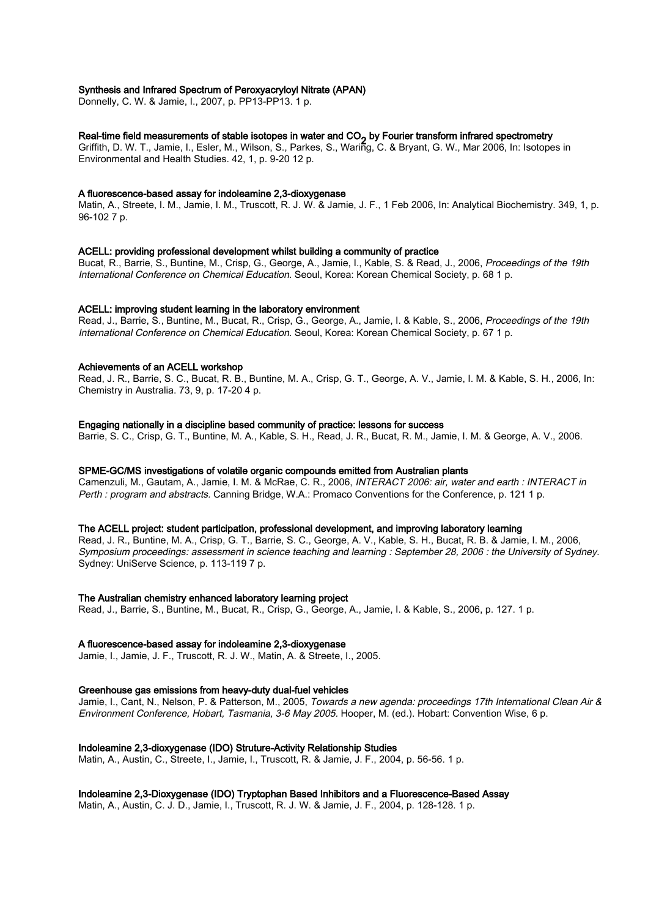# Synthesis and Infrared Spectrum of Peroxyacryloyl Nitrate (APAN)

Donnelly, C. W. & Jamie, I., 2007, p. PP13-PP13. 1 p.

# Real-time field measurements of stable isotopes in water and CO<sub>2</sub> by Fourier transform infrared spectrometry<br>Culture D. W. T. Harris H. False M. Wilson C. Parkes C. Warian C. & Present C. W. Mar 2006, he laster

Griffith, D. W. T., Jamie, I., Esler, M., Wilson, S., Parkes, S., Waring, C. & Bryant, G. W., Mar 2006, In: Isotopes in Environmental and Health Studies. 42, 1, p. 9-20 12 p.

#### A fluorescence-based assay for indoleamine 2,3-dioxygenase

Matin, A., Streete, I. M., Jamie, I. M., Truscott, R. J. W. & Jamie, J. F., 1 Feb 2006, In: Analytical Biochemistry. 349, 1, p. 96-102 7 p.

### ACELL: providing professional development whilst building a community of practice

Bucat, R., Barrie, S., Buntine, M., Crisp, G., George, A., Jamie, I., Kable, S. & Read, J., 2006, Proceedings of the 19th International Conference on Chemical Education. Seoul, Korea: Korean Chemical Society, p. 68 1 p.

#### ACELL: improving student learning in the laboratory environment

Read, J., Barrie, S., Buntine, M., Bucat, R., Crisp, G., George, A., Jamie, I. & Kable, S., 2006, Proceedings of the 19th International Conference on Chemical Education. Seoul, Korea: Korean Chemical Society, p. 67 1 p.

#### Achievements of an ACELL workshop

Read, J. R., Barrie, S. C., Bucat, R. B., Buntine, M. A., Crisp, G. T., George, A. V., Jamie, I. M. & Kable, S. H., 2006, In: Chemistry in Australia. 73, 9, p. 17-20 4 p.

#### Engaging nationally in a discipline based community of practice: lessons for success

Barrie, S. C., Crisp, G. T., Buntine, M. A., Kable, S. H., Read, J. R., Bucat, R. M., Jamie, I. M. & George, A. V., 2006.

# SPME-GC/MS investigations of volatile organic compounds emitted from Australian plants

Camenzuli, M., Gautam, A., Jamie, I. M. & McRae, C. R., 2006, INTERACT 2006: air, water and earth : INTERACT in Perth : program and abstracts. Canning Bridge, W.A.: Promaco Conventions for the Conference, p. 121 1 p.

#### The ACELL project: student participation, professional development, and improving laboratory learning

Read, J. R., Buntine, M. A., Crisp, G. T., Barrie, S. C., George, A. V., Kable, S. H., Bucat, R. B. & Jamie, I. M., 2006, Symposium proceedings: assessment in science teaching and learning : September 28, 2006 : the University of Sydney. Sydney: UniServe Science, p. 113-119 7 p.

#### The Australian chemistry enhanced laboratory learning project

Read, J., Barrie, S., Buntine, M., Bucat, R., Crisp, G., George, A., Jamie, I. & Kable, S., 2006, p. 127. 1 p.

### A fluorescence-based assay for indoleamine 2,3-dioxygenase

Jamie, I., Jamie, J. F., Truscott, R. J. W., Matin, A. & Streete, I., 2005.

### Greenhouse gas emissions from heavy-duty dual-fuel vehicles

Jamie, I., Cant, N., Nelson, P. & Patterson, M., 2005, Towards a new agenda: proceedings 17th International Clean Air & Environment Conference, Hobart, Tasmania, 3-6 May 2005. Hooper, M. (ed.). Hobart: Convention Wise, 6 p.

### Indoleamine 2,3-dioxygenase (IDO) Struture-Activity Relationship Studies

Matin, A., Austin, C., Streete, I., Jamie, I., Truscott, R. & Jamie, J. F., 2004, p. 56-56. 1 p.

# Indoleamine 2,3-Dioxygenase (IDO) Tryptophan Based Inhibitors and a Fluorescence-Based Assay

Matin, A., Austin, C. J. D., Jamie, I., Truscott, R. J. W. & Jamie, J. F., 2004, p. 128-128. 1 p.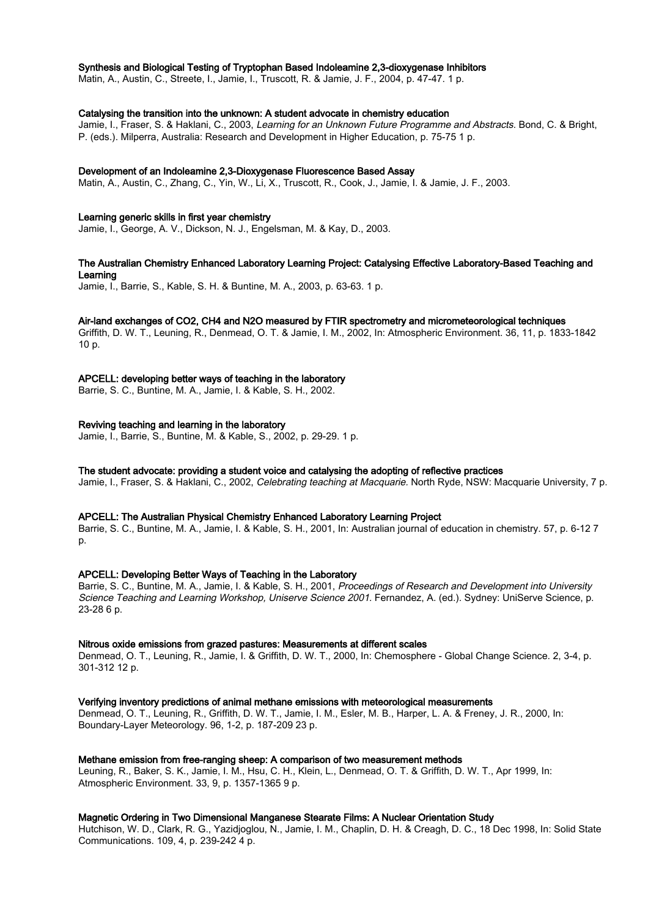# Synthesis and Biological Testing of Tryptophan Based Indoleamine 2,3-dioxygenase Inhibitors

Matin, A., Austin, C., Streete, I., Jamie, I., Truscott, R. & Jamie, J. F., 2004, p. 47-47. 1 p.

# Catalysing the transition into the unknown: A student advocate in chemistry education

Jamie, I., Fraser, S. & Haklani, C., 2003, Learning for an Unknown Future Programme and Abstracts. Bond, C. & Bright, P. (eds.). Milperra, Australia: Research and Development in Higher Education, p. 75-75 1 p.

#### Development of an Indoleamine 2,3-Dioxygenase Fluorescence Based Assay

Matin, A., Austin, C., Zhang, C., Yin, W., Li, X., Truscott, R., Cook, J., Jamie, I. & Jamie, J. F., 2003.

#### Learning generic skills in first year chemistry

Jamie, I., George, A. V., Dickson, N. J., Engelsman, M. & Kay, D., 2003.

# The Australian Chemistry Enhanced Laboratory Learning Project: Catalysing Effective Laboratory-Based Teaching and Learning

Jamie, I., Barrie, S., Kable, S. H. & Buntine, M. A., 2003, p. 63-63. 1 p.

#### Air-land exchanges of CO2, CH4 and N2O measured by FTIR spectrometry and micrometeorological techniques

Griffith, D. W. T., Leuning, R., Denmead, O. T. & Jamie, I. M., 2002, In: Atmospheric Environment. 36, 11, p. 1833-1842 10 p.

### APCELL: developing better ways of teaching in the laboratory

Barrie, S. C., Buntine, M. A., Jamie, I. & Kable, S. H., 2002.

# Reviving teaching and learning in the laboratory

Jamie, I., Barrie, S., Buntine, M. & Kable, S., 2002, p. 29-29. 1 p.

#### The student advocate: providing a student voice and catalysing the adopting of reflective practices

Jamie, I., Fraser, S. & Haklani, C., 2002, Celebrating teaching at Macquarie. North Ryde, NSW: Macquarie University, 7 p.

#### APCELL: The Australian Physical Chemistry Enhanced Laboratory Learning Project

Barrie, S. C., Buntine, M. A., Jamie, I. & Kable, S. H., 2001, In: Australian journal of education in chemistry. 57, p. 6-12 7 p.

#### APCELL: Developing Better Ways of Teaching in the Laboratory

Barrie, S. C., Buntine, M. A., Jamie, I. & Kable, S. H., 2001, Proceedings of Research and Development into University Science Teaching and Learning Workshop, Uniserve Science 2001. Fernandez, A. (ed.). Sydney: UniServe Science, p. 23-28 6 p.

#### Nitrous oxide emissions from grazed pastures: Measurements at different scales

Denmead, O. T., Leuning, R., Jamie, I. & Griffith, D. W. T., 2000, In: Chemosphere - Global Change Science. 2, 3-4, p. 301-312 12 p.

#### Verifying inventory predictions of animal methane emissions with meteorological measurements

Denmead, O. T., Leuning, R., Griffith, D. W. T., Jamie, I. M., Esler, M. B., Harper, L. A. & Freney, J. R., 2000, In: Boundary-Layer Meteorology. 96, 1-2, p. 187-209 23 p.

#### Methane emission from free-ranging sheep: A comparison of two measurement methods

Leuning, R., Baker, S. K., Jamie, I. M., Hsu, C. H., Klein, L., Denmead, O. T. & Griffith, D. W. T., Apr 1999, In: Atmospheric Environment. 33, 9, p. 1357-1365 9 p.

# Magnetic Ordering in Two Dimensional Manganese Stearate Films: A Nuclear Orientation Study

Hutchison, W. D., Clark, R. G., Yazidjoglou, N., Jamie, I. M., Chaplin, D. H. & Creagh, D. C., 18 Dec 1998, In: Solid State Communications. 109, 4, p. 239-242 4 p.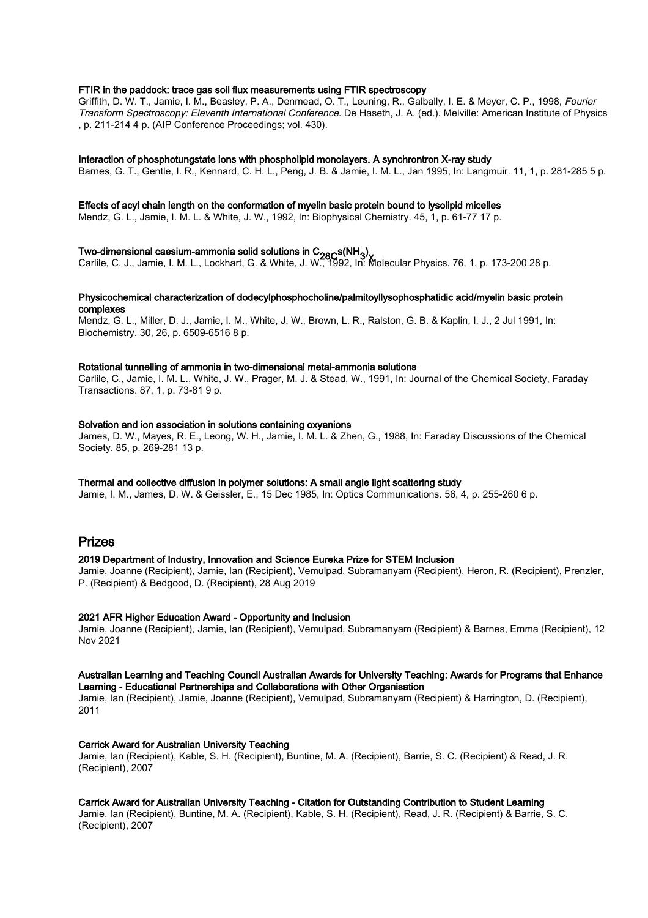### FTIR in the paddock: trace gas soil flux measurements using FTIR spectroscopy

Griffith, D. W. T., Jamie, I. M., Beasley, P. A., Denmead, O. T., Leuning, R., Galbally, I. E. & Meyer, C. P., 1998, Fourier Transform Spectroscopy: Eleventh International Conference. De Haseth, J. A. (ed.). Melville: American Institute of Physics , p. 211-214 4 p. (AIP Conference Proceedings; vol. 430).

#### Interaction of phosphotungstate ions with phospholipid monolayers. A synchrontron X-ray study

Barnes, G. T., Gentle, I. R., Kennard, C. H. L., Peng, J. B. & Jamie, I. M. L., Jan 1995, In: Langmuir. 11, 1, p. 281-285 5 p.

#### Effects of acyl chain length on the conformation of myelin basic protein bound to lysolipid micelles

Mendz, G. L., Jamie, I. M. L. & White, J. W., 1992, In: Biophysical Chemistry. 45, 1, p. 61-77 17 p.

T**wo-dimensional caesium-ammonia solid solutions in C<sub>28C</sub>s(NH<sub>3</sub>).<br>Carlile, C. J., Jamie, I. M. L., Lockhart, G. & White, J. W., 1992, In: Molecular Physics. 76, 1, p. 173-200 28 p.** 

### Physicochemical characterization of dodecylphosphocholine/palmitoyllysophosphatidic acid/myelin basic protein complexes

Mendz, G. L., Miller, D. J., Jamie, I. M., White, J. W., Brown, L. R., Ralston, G. B. & Kaplin, I. J., 2 Jul 1991, In: Biochemistry. 30, 26, p. 6509-6516 8 p.

#### Rotational tunnelling of ammonia in two-dimensional metal-ammonia solutions

Carlile, C., Jamie, I. M. L., White, J. W., Prager, M. J. & Stead, W., 1991, In: Journal of the Chemical Society, Faraday Transactions. 87, 1, p. 73-81 9 p.

#### Solvation and ion association in solutions containing oxyanions

James, D. W., Mayes, R. E., Leong, W. H., Jamie, I. M. L. & Zhen, G., 1988, In: Faraday Discussions of the Chemical Society. 85, p. 269-281 13 p.

# Thermal and collective diffusion in polymer solutions: A small angle light scattering study

Jamie, I. M., James, D. W. & Geissler, E., 15 Dec 1985, In: Optics Communications. 56, 4, p. 255-260 6 p.

# Prizes

# 2019 Department of Industry, Innovation and Science Eureka Prize for STEM Inclusion

Jamie, Joanne (Recipient), Jamie, Ian (Recipient), Vemulpad, Subramanyam (Recipient), Heron, R. (Recipient), Prenzler, P. (Recipient) & Bedgood, D. (Recipient), 28 Aug 2019

# 2021 AFR Higher Education Award - Opportunity and Inclusion

Jamie, Joanne (Recipient), Jamie, Ian (Recipient), Vemulpad, Subramanyam (Recipient) & Barnes, Emma (Recipient), 12 Nov 2021

# Australian Learning and Teaching Council Australian Awards for University Teaching: Awards for Programs that Enhance Learning - Educational Partnerships and Collaborations with Other Organisation

Jamie, Ian (Recipient), Jamie, Joanne (Recipient), Vemulpad, Subramanyam (Recipient) & Harrington, D. (Recipient), 2011

# Carrick Award for Australian University Teaching

Jamie, Ian (Recipient), Kable, S. H. (Recipient), Buntine, M. A. (Recipient), Barrie, S. C. (Recipient) & Read, J. R. (Recipient), 2007

# Carrick Award for Australian University Teaching - Citation for Outstanding Contribution to Student Learning

Jamie, Ian (Recipient), Buntine, M. A. (Recipient), Kable, S. H. (Recipient), Read, J. R. (Recipient) & Barrie, S. C. (Recipient), 2007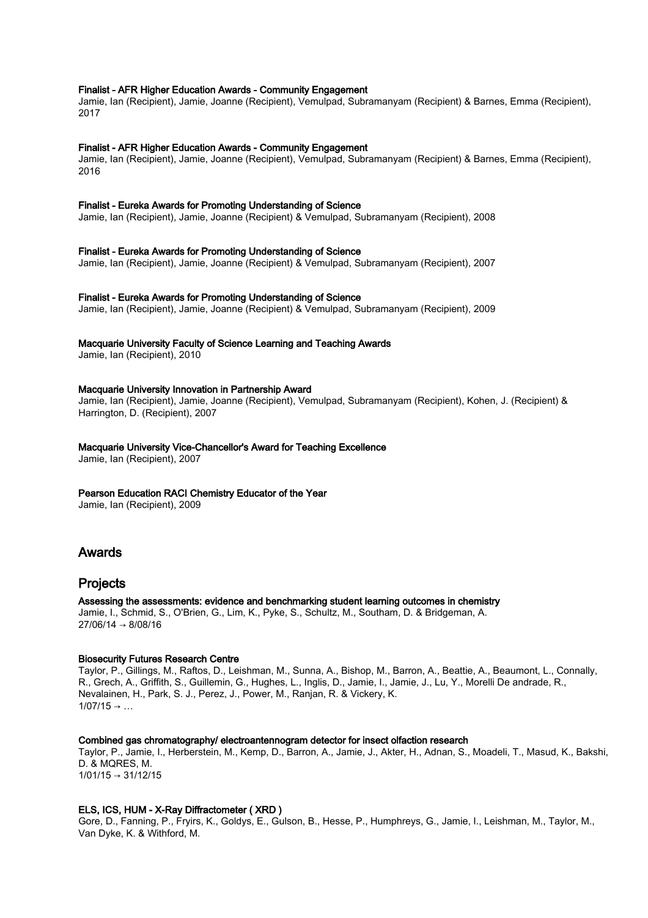# Finalist - AFR Higher Education Awards - Community Engagement

Jamie, Ian (Recipient), Jamie, Joanne (Recipient), Vemulpad, Subramanyam (Recipient) & Barnes, Emma (Recipient), 2017

#### Finalist - AFR Higher Education Awards - Community Engagement

Jamie, Ian (Recipient), Jamie, Joanne (Recipient), Vemulpad, Subramanyam (Recipient) & Barnes, Emma (Recipient), 2016

#### Finalist - Eureka Awards for Promoting Understanding of Science

Jamie, Ian (Recipient), Jamie, Joanne (Recipient) & Vemulpad, Subramanyam (Recipient), 2008

# Finalist - Eureka Awards for Promoting Understanding of Science

Jamie, Ian (Recipient), Jamie, Joanne (Recipient) & Vemulpad, Subramanyam (Recipient), 2007

# Finalist - Eureka Awards for Promoting Understanding of Science

Jamie, Ian (Recipient), Jamie, Joanne (Recipient) & Vemulpad, Subramanyam (Recipient), 2009

# Macquarie University Faculty of Science Learning and Teaching Awards

Jamie, Ian (Recipient), 2010

#### Macquarie University Innovation in Partnership Award

Jamie, Ian (Recipient), Jamie, Joanne (Recipient), Vemulpad, Subramanyam (Recipient), Kohen, J. (Recipient) & Harrington, D. (Recipient), 2007

# Macquarie University Vice-Chancellor's Award for Teaching Excellence

Jamie, Ian (Recipient), 2007

# Pearson Education RACI Chemistry Educator of the Year

Jamie, Ian (Recipient), 2009

# Awards

# Projects

Assessing the assessments: evidence and benchmarking student learning outcomes in chemistry Jamie, I., Schmid, S., O'Brien, G., Lim, K., Pyke, S., Schultz, M., Southam, D. & Bridgeman, A. 27/06/14 → 8/08/16

# Biosecurity Futures Research Centre

Taylor, P., Gillings, M., Raftos, D., Leishman, M., Sunna, A., Bishop, M., Barron, A., Beattie, A., Beaumont, L., Connally, R., Grech, A., Griffith, S., Guillemin, G., Hughes, L., Inglis, D., Jamie, I., Jamie, J., Lu, Y., Morelli De andrade, R., Nevalainen, H., Park, S. J., Perez, J., Power, M., Ranjan, R. & Vickery, K.  $1/07/15 \rightarrow ...$ 

#### Combined gas chromatography/ electroantennogram detector for insect olfaction research

Taylor, P., Jamie, I., Herberstein, M., Kemp, D., Barron, A., Jamie, J., Akter, H., Adnan, S., Moadeli, T., Masud, K., Bakshi, D. & MQRES, M.  $1/01/15 \rightarrow 31/12/15$ 

# ELS, ICS, HUM - X-Ray Diffractometer ( XRD )

Gore, D., Fanning, P., Fryirs, K., Goldys, E., Gulson, B., Hesse, P., Humphreys, G., Jamie, I., Leishman, M., Taylor, M., Van Dyke, K. & Withford, M.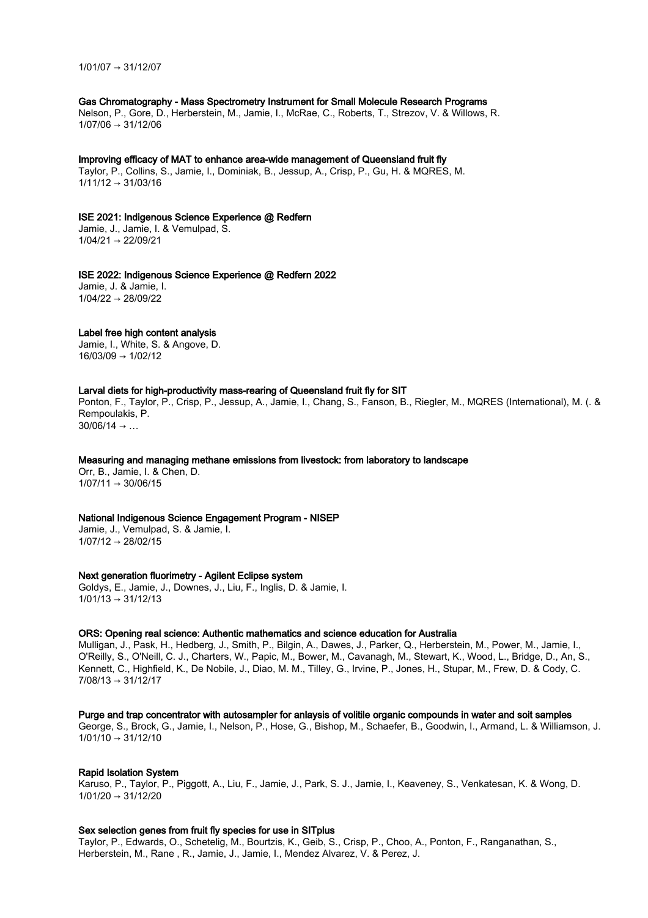1/01/07 → 31/12/07

# Gas Chromatography - Mass Spectrometry Instrument for Small Molecule Research Programs

Nelson, P., Gore, D., Herberstein, M., Jamie, I., McRae, C., Roberts, T., Strezov, V. & Willows, R.  $1/07/06 \rightarrow 31/12/06$ 

#### Improving efficacy of MAT to enhance area-wide management of Queensland fruit fly

Taylor, P., Collins, S., Jamie, I., Dominiak, B., Jessup, A., Crisp, P., Gu, H. & MQRES, M.  $1/11/12 \rightarrow 31/03/16$ 

#### ISE 2021: Indigenous Science Experience @ Redfern

Jamie, J., Jamie, I. & Vemulpad, S.  $1/04/21 \rightarrow 22/09/21$ 

#### ISE 2022: Indigenous Science Experience @ Redfern 2022

Jamie, J. & Jamie, I.  $1/04/22 \rightarrow 28/09/22$ 

#### Label free high content analysis

Jamie, I., White, S. & Angove, D. 16/03/09 → 1/02/12

# Larval diets for high-productivity mass-rearing of Queensland fruit fly for SIT

Ponton, F., Taylor, P., Crisp, P., Jessup, A., Jamie, I., Chang, S., Fanson, B., Riegler, M., MQRES (International), M. (. & Rempoulakis, P.

 $30/06/14 \rightarrow ...$ 

# Measuring and managing methane emissions from livestock: from laboratory to landscape

Orr, B., Jamie, I. & Chen, D.  $1/07/11 \rightarrow 30/06/15$ 

# National Indigenous Science Engagement Program - NISEP

Jamie, J., Vemulpad, S. & Jamie, I.  $1/07/12 \rightarrow 28/02/15$ 

#### Next generation fluorimetry - Agilent Eclipse system

Goldys, E., Jamie, J., Downes, J., Liu, F., Inglis, D. & Jamie, I.  $1/01/13 \rightarrow 31/12/13$ 

#### ORS: Opening real science: Authentic mathematics and science education for Australia

Mulligan, J., Pask, H., Hedberg, J., Smith, P., Bilgin, A., Dawes, J., Parker, Q., Herberstein, M., Power, M., Jamie, I., O'Reilly, S., O'Neill, C. J., Charters, W., Papic, M., Bower, M., Cavanagh, M., Stewart, K., Wood, L., Bridge, D., An, S., Kennett, C., Highfield, K., De Nobile, J., Diao, M. M., Tilley, G., Irvine, P., Jones, H., Stupar, M., Frew, D. & Cody, C. 7/08/13 → 31/12/17

# Purge and trap concentrator with autosampler for anlaysis of volitile organic compounds in water and soit samples

George, S., Brock, G., Jamie, I., Nelson, P., Hose, G., Bishop, M., Schaefer, B., Goodwin, I., Armand, L. & Williamson, J.  $1/01/10 \rightarrow 31/12/10$ 

#### Rapid Isolation System

Karuso, P., Taylor, P., Piggott, A., Liu, F., Jamie, J., Park, S. J., Jamie, I., Keaveney, S., Venkatesan, K. & Wong, D.  $1/01/20 \rightarrow 31/12/20$ 

# Sex selection genes from fruit fly species for use in SITplus

Taylor, P., Edwards, O., Schetelig, M., Bourtzis, K., Geib, S., Crisp, P., Choo, A., Ponton, F., Ranganathan, S., Herberstein, M., Rane , R., Jamie, J., Jamie, I., Mendez Alvarez, V. & Perez, J.